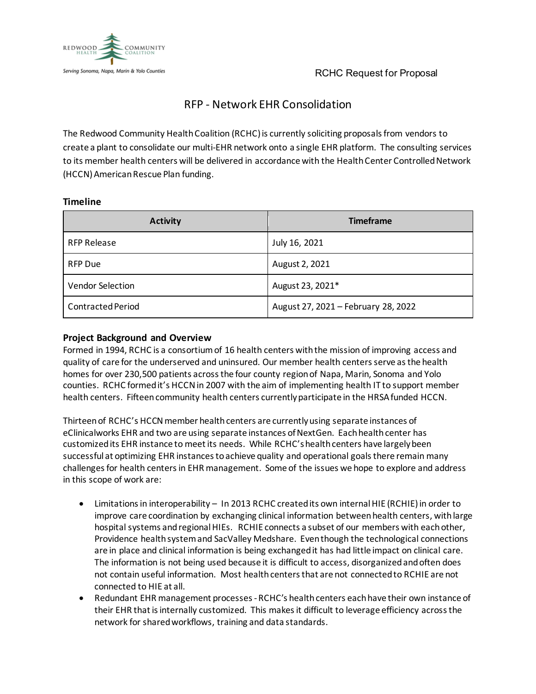



# RFP - Network EHR Consolidation

The Redwood Community Health Coalition (RCHC) is currently soliciting proposals from vendors to create a plant to consolidate our multi-EHR network onto a single EHR platform. The consulting services to its member health centers will be delivered in accordance with the Health Center Controlled Network (HCCN) American Rescue Plan funding.

| <b>Activity</b>          | <b>Timeframe</b>                    |
|--------------------------|-------------------------------------|
| <b>RFP Release</b>       | July 16, 2021                       |
| RFP Due                  | August 2, 2021                      |
| <b>Vendor Selection</b>  | August 23, 2021*                    |
| <b>Contracted Period</b> | August 27, 2021 - February 28, 2022 |

### **Timeline**

## **Project Background and Overview**

Formed in 1994, RCHC is a consortium of 16 health centers with the mission of improving access and quality of care for the underserved and uninsured. Our member health centers serve as the health homes for over 230,500 patients across the four county region of Napa, Marin, Sonoma and Yolo counties. RCHC formed it's HCCN in 2007 with the aim of implementing health IT to support member health centers. Fifteen community health centers currently participate in the HRSA funded HCCN.

Thirteen of RCHC's HCCN member health centers are currently using separate instances of eClinicalworks EHR and two are using separate instances of NextGen. Each health center has customized its EHR instance to meet its needs. While RCHC's health centers have largely been successful at optimizing EHR instances to achieve quality and operational goals there remain many challenges for health centers in EHR management. Some of the issues we hope to explore and address in this scope of work are:

- Limitations in interoperability In 2013 RCHC created its own internal HIE (RCHIE) in order to improve care coordination by exchanging clinical information between health centers, withlarge hospital systems and regional HIEs. RCHIE connects a subset of our members with each other, Providence health system and SacValley Medshare. Even though the technological connections are in place and clinical information is being exchanged it has had little impact on clinical care. The information is not being used because it is difficult to access, disorganized and often does not contain useful information. Most health centers that are not connected to RCHIE are not connected to HIE at all.
- Redundant EHR management processes RCHC's health centers each have their own instance of their EHR that is internally customized. This makes it difficult to leverage efficiency acrossthe network for shared workflows, training and data standards.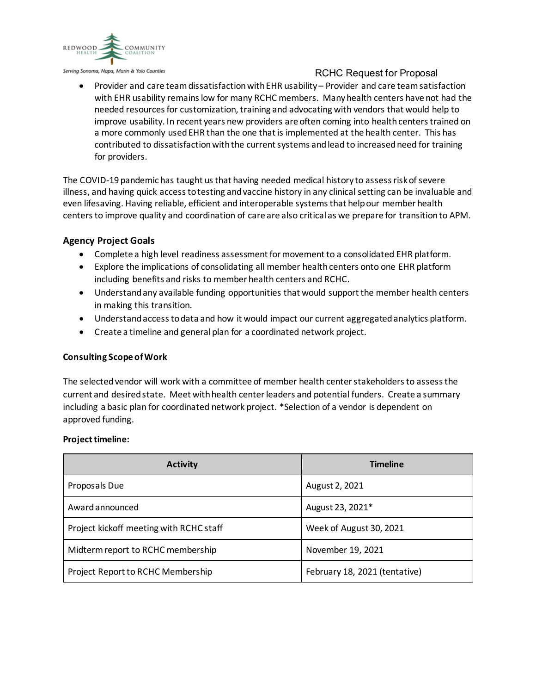

Serving Sonoma, Napa, Marin & Yolo Counties

## RCHC Request for Proposal

• Provider and care teamdissatisfaction with EHR usability – Provider and care team satisfaction with EHR usability remains low for many RCHC members. Many health centers have not had the needed resources for customization, training and advocating with vendors that would help to improve usability. In recent years new providers are often coming into health centers trained on a more commonly usedEHR than the one that is implemented at the health center. This has contributed to dissatisfaction with the current systems and lead to increased need for training for providers.

The COVID-19 pandemic has taught us that having needed medical history to assess risk of severe illness, and having quick access to testing and vaccine history in any clinical setting can be invaluable and even lifesaving. Having reliable, efficient and interoperable systems that help our member health centers to improve quality and coordination of care are also critical as we prepare for transition to APM.

## **Agency Project Goals**

- Complete a high level readiness assessment for movement to a consolidated EHR platform.
- Explore the implications of consolidating all member health centers onto one EHR platform including benefits and risks to member health centers and RCHC.
- Understand any available funding opportunities that would support the member health centers in making this transition.
- Understand access to data and how it would impact our current aggregated analytics platform.
- Create a timeline and general plan for a coordinated network project.

#### **Consulting Scope of Work**

The selected vendor will work with a committee of member health center stakeholders to assess the current and desired state. Meet with health center leaders and potential funders. Create a summary including a basic plan for coordinated network project. \*Selection of a vendor is dependent on approved funding.

#### **Project timeline:**

| <b>Activity</b>                         | <b>Timeline</b>               |
|-----------------------------------------|-------------------------------|
| Proposals Due                           | August 2, 2021                |
| Award announced                         | August 23, 2021*              |
| Project kickoff meeting with RCHC staff | Week of August 30, 2021       |
| Midterm report to RCHC membership       | November 19, 2021             |
| Project Report to RCHC Membership       | February 18, 2021 (tentative) |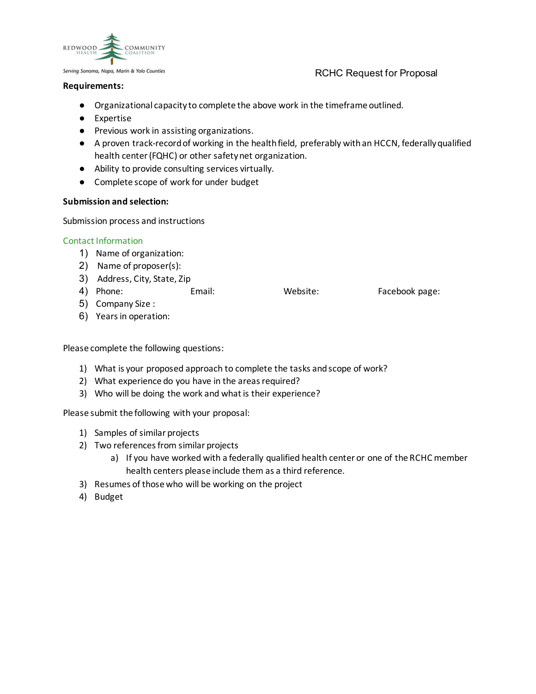

## RCHC Request for Proposal

#### **Requirements:**

- Organizational capacity to complete the above work in the timeframe outlined.
- Expertise
- Previous work in assisting organizations.
- A proven track-record of working in the health field, preferably with an HCCN, federally qualified health center (FQHC) or other safety net organization.
- Ability to provide consulting services virtually.
- Complete scope of work for under budget

#### **Submission and selection:**

Submission process and instructions

#### Contact Information

- 1) Name of organization:
- 2) Name of proposer(s):
- 3) Address, City, State, Zip
- 4) Phone: Email: Website: Facebook page:

- 5) Company Size :
- 6) Years in operation:

Please complete the following questions:

- 1) What is your proposed approach to complete the tasks and scope of work?
- 2) What experience do you have in the areas required?
- 3) Who will be doing the work and what is their experience?

Please submit the following with your proposal:

- 1) Samples of similar projects
- 2) Two references from similar projects
	- a) If you have worked with a federally qualified health center or one of the RCHC member health centers please include them as a third reference.
- 3) Resumes of those who will be working on the project
- 4) Budget